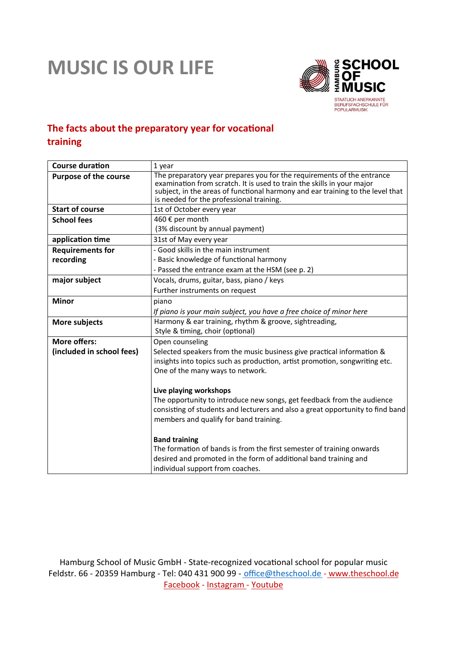## **MUSIC IS OUR LIFE**



## **The facts about the preparatory year for vocational training**

| 1 year                                                                                                                     |
|----------------------------------------------------------------------------------------------------------------------------|
| The preparatory year prepares you for the requirements of the entrance                                                     |
| examination from scratch. It is used to train the skills in your major                                                     |
| subject, in the areas of functional harmony and ear training to the level that<br>is needed for the professional training. |
| 1st of October every year                                                                                                  |
| 460 € per month                                                                                                            |
| (3% discount by annual payment)                                                                                            |
| 31st of May every year                                                                                                     |
| - Good skills in the main instrument                                                                                       |
| - Basic knowledge of functional harmony                                                                                    |
| - Passed the entrance exam at the HSM (see p. 2)                                                                           |
| Vocals, drums, guitar, bass, piano / keys                                                                                  |
| Further instruments on request                                                                                             |
| piano                                                                                                                      |
| If piano is your main subject, you have a free choice of minor here                                                        |
| Harmony & ear training, rhythm & groove, sightreading,                                                                     |
| Style & timing, choir (optional)                                                                                           |
| Open counseling                                                                                                            |
| Selected speakers from the music business give practical information &                                                     |
| insights into topics such as production, artist promotion, songwriting etc.                                                |
| One of the many ways to network.                                                                                           |
|                                                                                                                            |
| Live playing workshops                                                                                                     |
| The opportunity to introduce new songs, get feedback from the audience                                                     |
| consisting of students and lecturers and also a great opportunity to find band                                             |
| members and qualify for band training.                                                                                     |
| <b>Band training</b>                                                                                                       |
| The formation of bands is from the first semester of training onwards                                                      |
| desired and promoted in the form of additional band training and                                                           |
| individual support from coaches.                                                                                           |
|                                                                                                                            |

Hamburg School of Music GmbH - State-recognized vocational school for popular music Feldstr. 66 - 20359 Hamburg - Tel: 040 431 900 99 - office@theschool.de - www.theschool.de Facebook - Instagram - Youtube